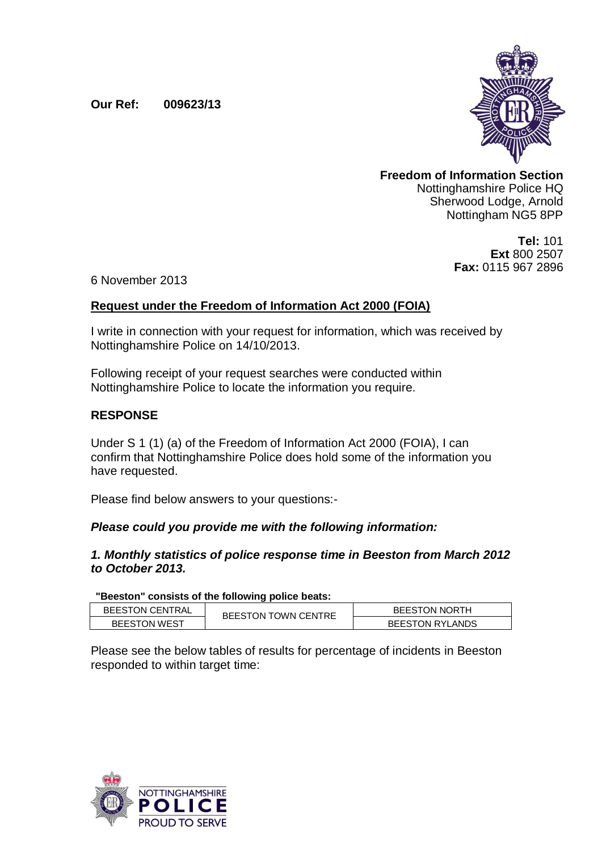# **Our Ref: 009623/13**



**Freedom of Information Section** Nottinghamshire Police HQ Sherwood Lodge, Arnold Nottingham NG5 8PP

> **Tel:** 101 **Ext** 800 2507 **Fax:** 0115 967 2896

6 November 2013

# **Request under the Freedom of Information Act 2000 (FOIA)**

I write in connection with your request for information, which was received by Nottinghamshire Police on 14/10/2013.

Following receipt of your request searches were conducted within Nottinghamshire Police to locate the information you require.

# **RESPONSE**

Under S 1 (1) (a) of the Freedom of Information Act 2000 (FOIA), I can confirm that Nottinghamshire Police does hold some of the information you have requested.

Please find below answers to your questions:-

# *Please could you provide me with the following information:*

# *1. Monthly statistics of police response time in Beeston from March 2012 to October 2013.*

**"Beeston" consists of the following police beats:**

| <b>BEESTON CENTRAL</b> | <b>BEESTON TOWN CENTRE</b> | <b>BEESTON NORTH</b>   |
|------------------------|----------------------------|------------------------|
| <b>BEESTON WEST</b>    |                            | <b>BEESTON RYLANDS</b> |

Please see the below tables of results for percentage of incidents in Beeston responded to within target time:

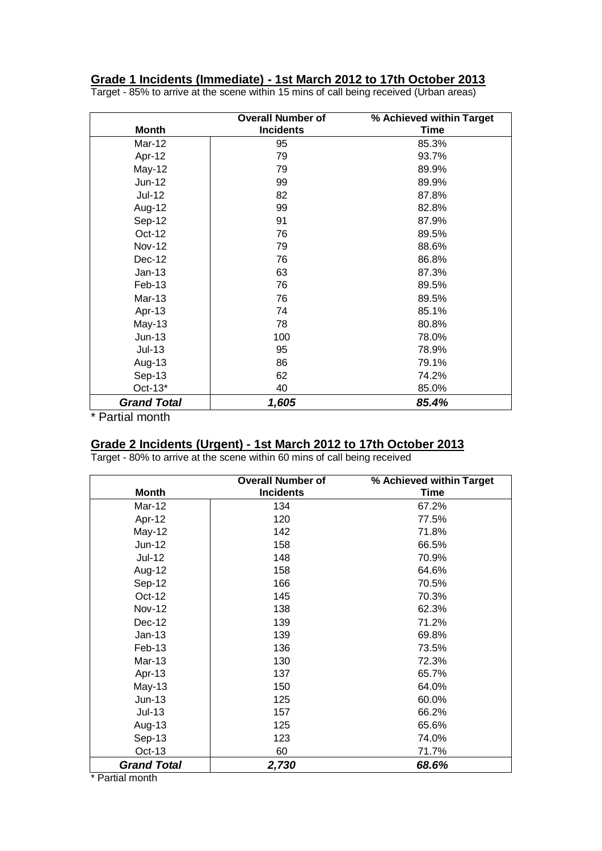#### **Grade 1 Incidents (Immediate) - 1st March 2012 to 17th October 2013**

|                    | <b>Overall Number of</b> | % Achieved within Target |
|--------------------|--------------------------|--------------------------|
| <b>Month</b>       | <b>Incidents</b>         | <b>Time</b>              |
| Mar-12             | 95                       | 85.3%                    |
| Apr-12             | 79                       | 93.7%                    |
| May-12             | 79                       | 89.9%                    |
| Jun-12             | 99                       | 89.9%                    |
| <b>Jul-12</b>      | 82                       | 87.8%                    |
| Aug-12             | 99                       | 82.8%                    |
| Sep-12             | 91                       | 87.9%                    |
| Oct-12             | 76                       | 89.5%                    |
| <b>Nov-12</b>      | 79                       | 88.6%                    |
| Dec-12             | 76                       | 86.8%                    |
| $Jan-13$           | 63                       | 87.3%                    |
| Feb-13             | 76                       | 89.5%                    |
| Mar-13             | 76                       | 89.5%                    |
| Apr-13             | 74                       | 85.1%                    |
| <b>May-13</b>      | 78                       | 80.8%                    |
| $Jun-13$           | 100                      | 78.0%                    |
| $Jul-13$           | 95                       | 78.9%                    |
| Aug-13             | 86                       | 79.1%                    |
| Sep-13             | 62                       | 74.2%                    |
| $Oct-13*$          | 40                       | 85.0%                    |
| <b>Grand Total</b> | 1,605                    | 85.4%                    |

Target - 85% to arrive at the scene within 15 mins of call being received (Urban areas)

\* Partial month

#### **Grade 2 Incidents (Urgent) - 1st March 2012 to 17th October 2013**

Target - 80% to arrive at the scene within 60 mins of call being received

|                    | <b>Overall Number of</b> | % Achieved within Target |
|--------------------|--------------------------|--------------------------|
| <b>Month</b>       | <b>Incidents</b>         | <b>Time</b>              |
| Mar-12             | 134                      | 67.2%                    |
| Apr-12             | 120                      | 77.5%                    |
| May-12             | 142                      | 71.8%                    |
| Jun-12             | 158                      | 66.5%                    |
| $Jul-12$           | 148                      | 70.9%                    |
| Aug-12             | 158                      | 64.6%                    |
| Sep-12             | 166                      | 70.5%                    |
| Oct-12             | 145                      | 70.3%                    |
| <b>Nov-12</b>      | 138                      | 62.3%                    |
| Dec-12             | 139                      | 71.2%                    |
| $Jan-13$           | 139                      | 69.8%                    |
| Feb-13             | 136                      | 73.5%                    |
| Mar-13             | 130                      | 72.3%                    |
| Apr-13             | 137                      | 65.7%                    |
| $May-13$           | 150                      | 64.0%                    |
| $Jun-13$           | 125                      | 60.0%                    |
| $Jul-13$           | 157                      | 66.2%                    |
| Aug-13             | 125                      | 65.6%                    |
| Sep-13             | 123                      | 74.0%                    |
| $Oct-13$           | 60                       | 71.7%                    |
| <b>Grand Total</b> | 2,730                    | 68.6%                    |

\* Partial month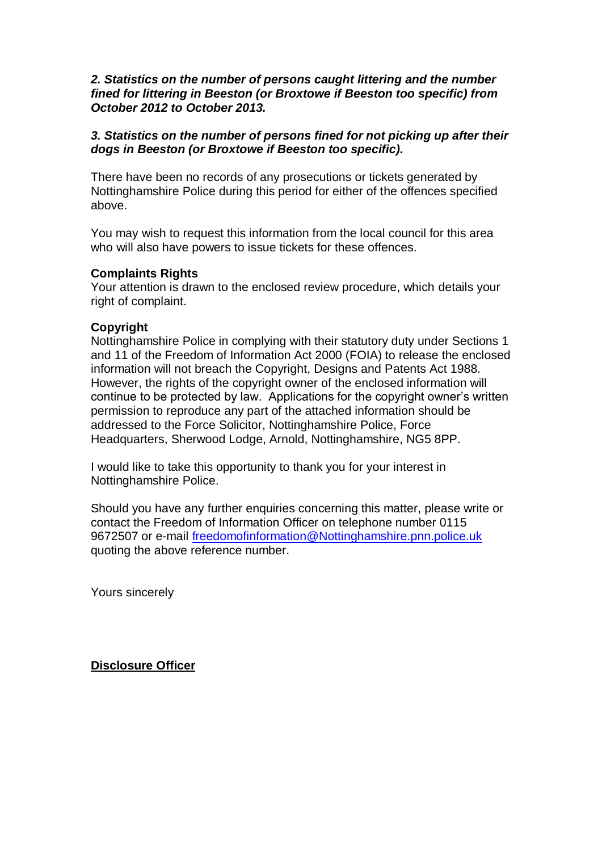#### *2. Statistics on the number of persons caught littering and the number fined for littering in Beeston (or Broxtowe if Beeston too specific) from October 2012 to October 2013.*

# *3. Statistics on the number of persons fined for not picking up after their dogs in Beeston (or Broxtowe if Beeston too specific).*

There have been no records of any prosecutions or tickets generated by Nottinghamshire Police during this period for either of the offences specified above.

You may wish to request this information from the local council for this area who will also have powers to issue tickets for these offences.

# **Complaints Rights**

Your attention is drawn to the enclosed review procedure, which details your right of complaint.

#### **Copyright**

Nottinghamshire Police in complying with their statutory duty under Sections 1 and 11 of the Freedom of Information Act 2000 (FOIA) to release the enclosed information will not breach the Copyright, Designs and Patents Act 1988. However, the rights of the copyright owner of the enclosed information will continue to be protected by law. Applications for the copyright owner's written permission to reproduce any part of the attached information should be addressed to the Force Solicitor, Nottinghamshire Police, Force Headquarters, Sherwood Lodge, Arnold, Nottinghamshire, NG5 8PP.

I would like to take this opportunity to thank you for your interest in Nottinghamshire Police.

Should you have any further enquiries concerning this matter, please write or contact the Freedom of Information Officer on telephone number 0115 9672507 or e-mail [freedomofinformation@Nottinghamshire.pnn.police.uk](mailto:freedomofinformation@Nottinghamshire.pnn.police.uk) quoting the above reference number.

Yours sincerely

**Disclosure Officer**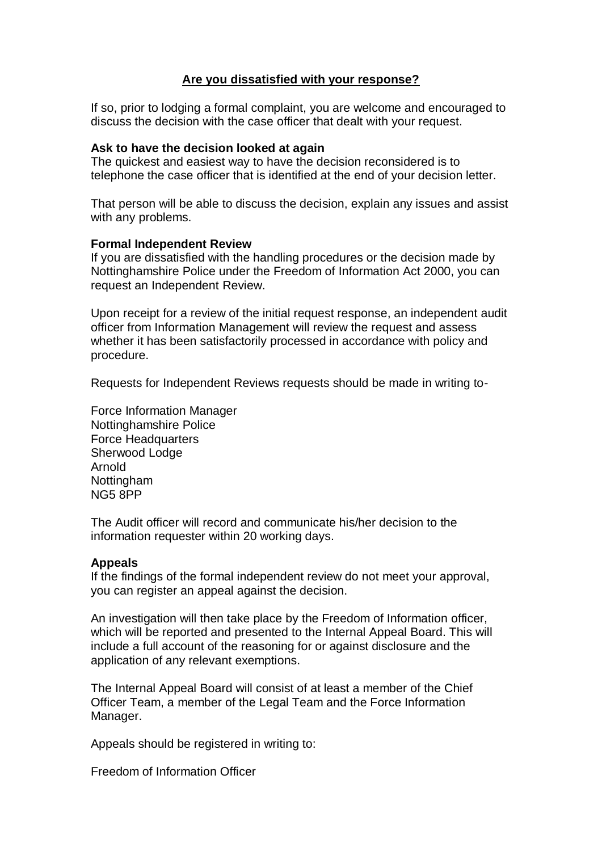# **Are you dissatisfied with your response?**

If so, prior to lodging a formal complaint, you are welcome and encouraged to discuss the decision with the case officer that dealt with your request.

#### **Ask to have the decision looked at again**

The quickest and easiest way to have the decision reconsidered is to telephone the case officer that is identified at the end of your decision letter.

That person will be able to discuss the decision, explain any issues and assist with any problems.

#### **Formal Independent Review**

If you are dissatisfied with the handling procedures or the decision made by Nottinghamshire Police under the Freedom of Information Act 2000, you can request an Independent Review.

Upon receipt for a review of the initial request response, an independent audit officer from Information Management will review the request and assess whether it has been satisfactorily processed in accordance with policy and procedure.

Requests for Independent Reviews requests should be made in writing to-

Force Information Manager Nottinghamshire Police Force Headquarters Sherwood Lodge Arnold Nottingham NG5 8PP

The Audit officer will record and communicate his/her decision to the information requester within 20 working days.

# **Appeals**

If the findings of the formal independent review do not meet your approval, you can register an appeal against the decision.

An investigation will then take place by the Freedom of Information officer, which will be reported and presented to the Internal Appeal Board. This will include a full account of the reasoning for or against disclosure and the application of any relevant exemptions.

The Internal Appeal Board will consist of at least a member of the Chief Officer Team, a member of the Legal Team and the Force Information Manager.

Appeals should be registered in writing to:

Freedom of Information Officer